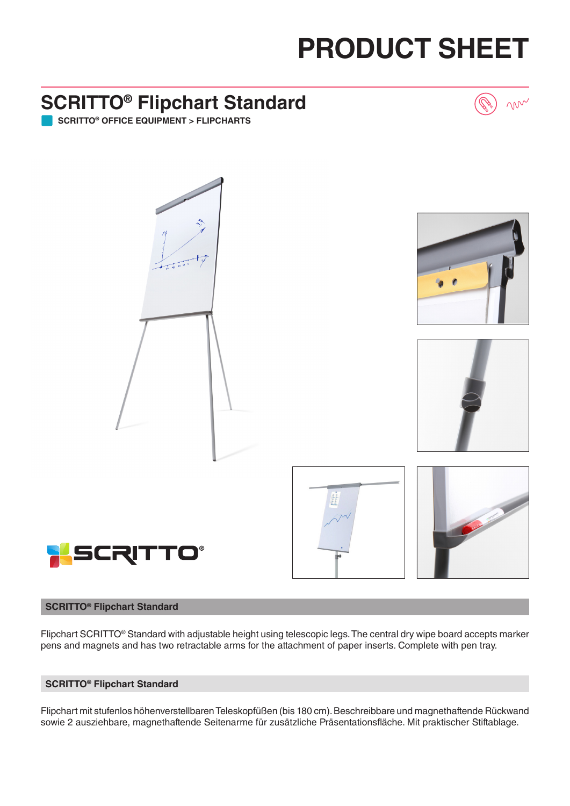## **PRODUCT SHEET**

non

### **SCRITTO® Flipchart Standard**

**SCRITTO® OFFICE EQUIPMENT > FLIPCHARTS**



#### **SCRITTO® Flipchart Standard**

Flipchart SCRITTO® Standard with adjustable height using telescopic legs. The central dry wipe board accepts marker pens and magnets and has two retractable arms for the attachment of paper inserts. Complete with pen tray.

#### **SCRITTO® Flipchart Standard**

Flipchart mit stufenlos höhenverstellbaren Teleskopfüßen (bis 180 cm). Beschreibbare und magnethaftende Rückwand sowie 2 ausziehbare, magnethaftende Seitenarme für zusätzliche Präsentationsfläche. Mit praktischer Stiftablage.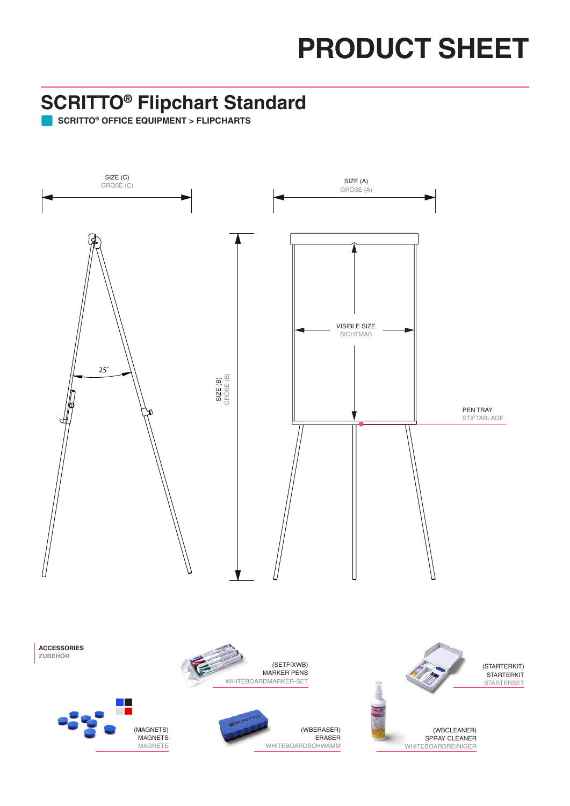# **PRODUCT SHEET**

#### **SCRITTO® Flipchart Standard**

**SCRITTO® OFFICE EQUIPMENT > FLIPCHARTS**